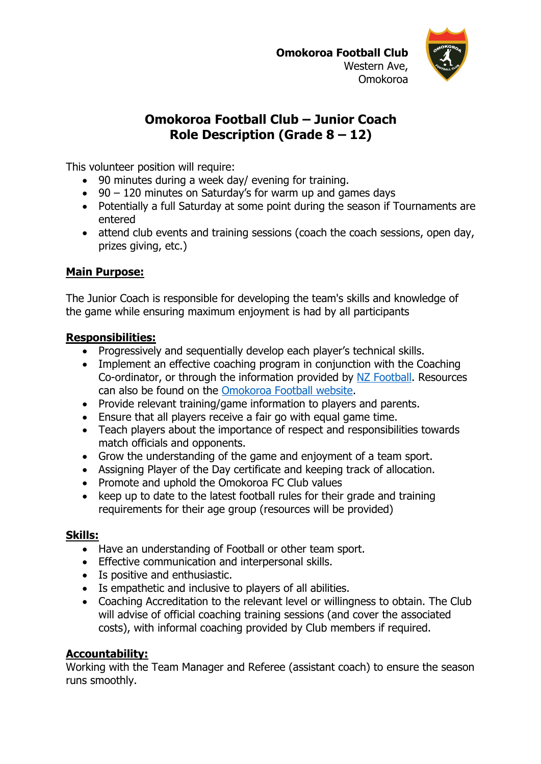

# **Omokoroa Football Club – Junior Coach Role Description (Grade 8 – 12)**

This volunteer position will require:

- 90 minutes during a week day/ evening for training.
- 90 120 minutes on Saturday's for warm up and games days
- Potentially a full Saturday at some point during the season if Tournaments are entered
- attend club events and training sessions (coach the coach sessions, open day, prizes giving, etc.)

## **Main Purpose:**

The Junior Coach is responsible for developing the team's skills and knowledge of the game while ensuring maximum enjoyment is had by all participants

## **Responsibilities:**

- Progressively and sequentially develop each player's technical skills.
- Implement an effective coaching program in conjunction with the Coaching Co-ordinator, or through the information provided by NZ Football. Resources can also be found on the Omokoroa Football website.
- Provide relevant training/game information to players and parents.
- Ensure that all players receive a fair go with equal game time.
- Teach players about the importance of respect and responsibilities towards match officials and opponents.
- Grow the understanding of the game and enjoyment of a team sport.
- Assigning Player of the Day certificate and keeping track of allocation.
- Promote and uphold the Omokoroa FC Club values
- keep up to date to the latest football rules for their grade and training requirements for their age group (resources will be provided)

### **Skills:**

- Have an understanding of Football or other team sport.
- Effective communication and interpersonal skills.
- Is positive and enthusiastic.
- Is empathetic and inclusive to players of all abilities.
- Coaching Accreditation to the relevant level or willingness to obtain. The Club will advise of official coaching training sessions (and cover the associated costs), with informal coaching provided by Club members if required.

## **Accountability:**

Working with the Team Manager and Referee (assistant coach) to ensure the season runs smoothly.